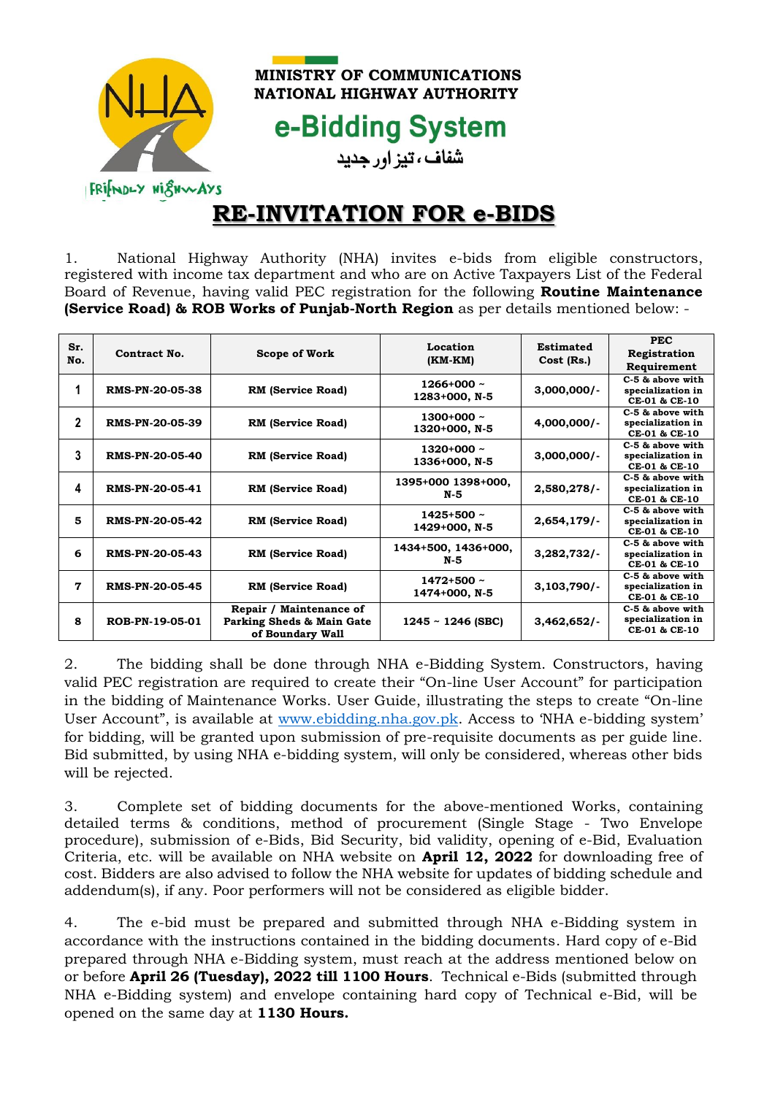

**MINISTRY OF COMMUNICATIONS** NATIONAL HIGHWAY AUTHORITY

e-Bidding System شفاف ، تیز اور جدید

## **RE-INVITATION FOR e-BIDS**

1. National Highway Authority (NHA) invites e-bids from eligible constructors, registered with income tax department and who are on Active Taxpayers List of the Federal Board of Revenue, having valid PEC registration for the following **Routine Maintenance (Service Road) & ROB Works of Punjab-North Region** as per details mentioned below: -

| Sr.<br>No.   | Contract No.           | Scope of Work                                                            | Location<br>$(KM-KM)$            | Estimated<br>Cost (Rs.) | <b>PEC</b><br>Registration<br>Requirement              |
|--------------|------------------------|--------------------------------------------------------------------------|----------------------------------|-------------------------|--------------------------------------------------------|
| 1            | <b>RMS-PN-20-05-38</b> | <b>RM</b> (Service Road)                                                 | $1266+000$ ~<br>1283+000, N-5    | $3,000,000/-$           | C-5 & above with<br>specialization in<br>CE-01 & CE-10 |
| $\mathbf{2}$ | <b>RMS-PN-20-05-39</b> | <b>RM</b> (Service Road)                                                 | $1300+000 \sim$<br>1320+000, N-5 | $4,000,000/-$           | C-5 & above with<br>specialization in<br>CE-01 & CE-10 |
| 3            | <b>RMS-PN-20-05-40</b> | <b>RM</b> (Service Road)                                                 | $1320+000$ ~<br>1336+000, N-5    | $3,000,000/-$           | C-5 & above with<br>specialization in<br>CE-01 & CE-10 |
| 4            | <b>RMS-PN-20-05-41</b> | <b>RM</b> (Service Road)                                                 | 1395+000 1398+000,<br>N-5        | 2,580,278/              | C-5 & above with<br>specialization in<br>CE-01 & CE-10 |
| 5            | <b>RMS-PN-20-05-42</b> | <b>RM</b> (Service Road)                                                 | $1425 + 500$ ~<br>1429+000, N-5  | 2,654,179/              | C-5 & above with<br>specialization in<br>CE-01 & CE-10 |
| 6            | <b>RMS-PN-20-05-43</b> | <b>RM</b> (Service Road)                                                 | 1434+500, 1436+000,<br>N-5       | 3,282,732/              | C-5 & above with<br>specialization in<br>CE-01 & CE-10 |
| 7            | <b>RMS-PN-20-05-45</b> | <b>RM</b> (Service Road)                                                 | $1472 + 500$ ~<br>1474+000, N-5  | 3,103,790/              | C-5 & above with<br>specialization in<br>CE-01 & CE-10 |
| 8            | ROB-PN-19-05-01        | Repair / Maintenance of<br>Parking Sheds & Main Gate<br>of Boundary Wall | $1245 - 1246$ (SBC)              | 3,462,652/              | C-5 & above with<br>specialization in<br>CE-01 & CE-10 |

2. The bidding shall be done through NHA e-Bidding System. Constructors, having valid PEC registration are required to create their "On-line User Account" for participation in the bidding of Maintenance Works. User Guide, illustrating the steps to create "On-line User Account", is available at [www.ebidding.nha.gov.pk.](http://www.ebidding.nha.gov.pk/) Access to 'NHA e-bidding system' for bidding, will be granted upon submission of pre-requisite documents as per guide line. Bid submitted, by using NHA e-bidding system, will only be considered, whereas other bids will be rejected.

3. Complete set of bidding documents for the above-mentioned Works, containing detailed terms & conditions, method of procurement (Single Stage - Two Envelope procedure), submission of e-Bids, Bid Security, bid validity, opening of e-Bid, Evaluation Criteria, etc. will be available on NHA website on **April 12, 2022** for downloading free of cost. Bidders are also advised to follow the NHA website for updates of bidding schedule and addendum(s), if any. Poor performers will not be considered as eligible bidder.

4. The e-bid must be prepared and submitted through NHA e-Bidding system in accordance with the instructions contained in the bidding documents. Hard copy of e-Bid prepared through NHA e-Bidding system, must reach at the address mentioned below on or before **April 26 (Tuesday), 2022 till 1100 Hours**. Technical e-Bids (submitted through NHA e-Bidding system) and envelope containing hard copy of Technical e-Bid, will be opened on the same day at **1130 Hours.**